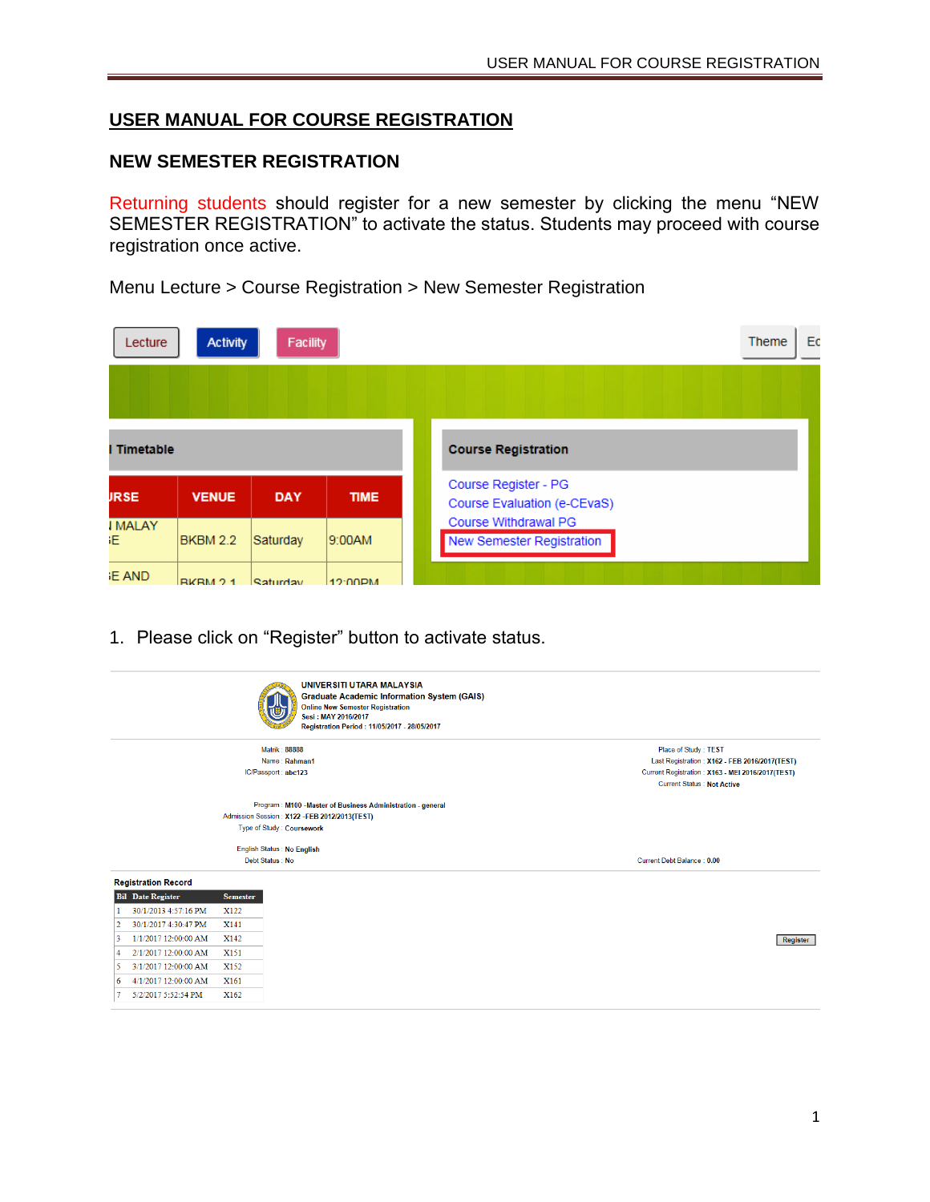## **USER MANUAL FOR COURSE REGISTRATION**

#### **NEW SEMESTER REGISTRATION**

Returning students should register for a new semester by clicking the menu "NEW SEMESTER REGISTRATION" to activate the status. Students may proceed with course registration once active.

Menu Lecture > Course Registration > New Semester Registration

| Lecture              | <b>Activity</b> | <b>Facility</b> |             | Ec<br>Theme                                         |
|----------------------|-----------------|-----------------|-------------|-----------------------------------------------------|
|                      |                 |                 |             |                                                     |
| I Timetable          |                 |                 |             | <b>Course Registration</b>                          |
| <b>JRSE</b>          | <b>VENUE</b>    | <b>DAY</b>      | <b>TIME</b> | Course Register - PG<br>Course Evaluation (e-CEvaS) |
| <b>IMALAY</b><br>ïE. | <b>BKBM 2.2</b> | Saturday        | 9:00AM      | Course Withdrawal PG<br>New Semester Registration   |
| <b>E AND</b>         | RKRM 21         | Saturday        | 12:00PM     |                                                     |

1. Please click on "Register" button to activate status.

|                                                                                                                                                                                                                                                        |                                                                                     | UNIVERSITI UTARA MALAYSIA<br><b>Graduate Academic Information System (GAIS)</b><br><b>Online New Semester Registration</b><br>Sesi: MAY 2016/2017<br>Registration Period: 11/05/2017 - 28/05/2017 |                                                                                                                                                                |
|--------------------------------------------------------------------------------------------------------------------------------------------------------------------------------------------------------------------------------------------------------|-------------------------------------------------------------------------------------|---------------------------------------------------------------------------------------------------------------------------------------------------------------------------------------------------|----------------------------------------------------------------------------------------------------------------------------------------------------------------|
|                                                                                                                                                                                                                                                        |                                                                                     | <b>Matrik: 88888</b><br>Name: Rahman1<br>IC/Passport : abc123                                                                                                                                     | Place of Study: TEST<br>Last Registration: X162 - FEB 2016/2017(TEST)<br>Current Registration: X163 - MEI 2016/2017(TEST)<br><b>Current Status: Not Active</b> |
|                                                                                                                                                                                                                                                        |                                                                                     | Program: M100 - Master of Business Administration - general<br>Admission Session: X122 -FEB 2012/2013(TEST)<br>Type of Study: Coursework                                                          |                                                                                                                                                                |
|                                                                                                                                                                                                                                                        |                                                                                     | English Status : No English<br>Debt Status: No                                                                                                                                                    | Current Debt Balance: 0.00                                                                                                                                     |
| <b>Registration Record</b><br><b>Bil</b> Date Register<br>30/1/2013 4:57:16 PM<br>30/1/2017 4:30:47 PM<br>2<br>1/1/2017 12:00:00 AM<br>3<br>2/1/2017 12:00:00 AM<br>4<br>3/1/2017 12:00:00 AM<br>5<br>4/1/2017 12:00:00 AM<br>6<br>5/2/2017 5:52:54 PM | <b>Semester</b><br>X122<br>X141<br>X142<br>X <sub>151</sub><br>X152<br>X161<br>X162 |                                                                                                                                                                                                   | Register                                                                                                                                                       |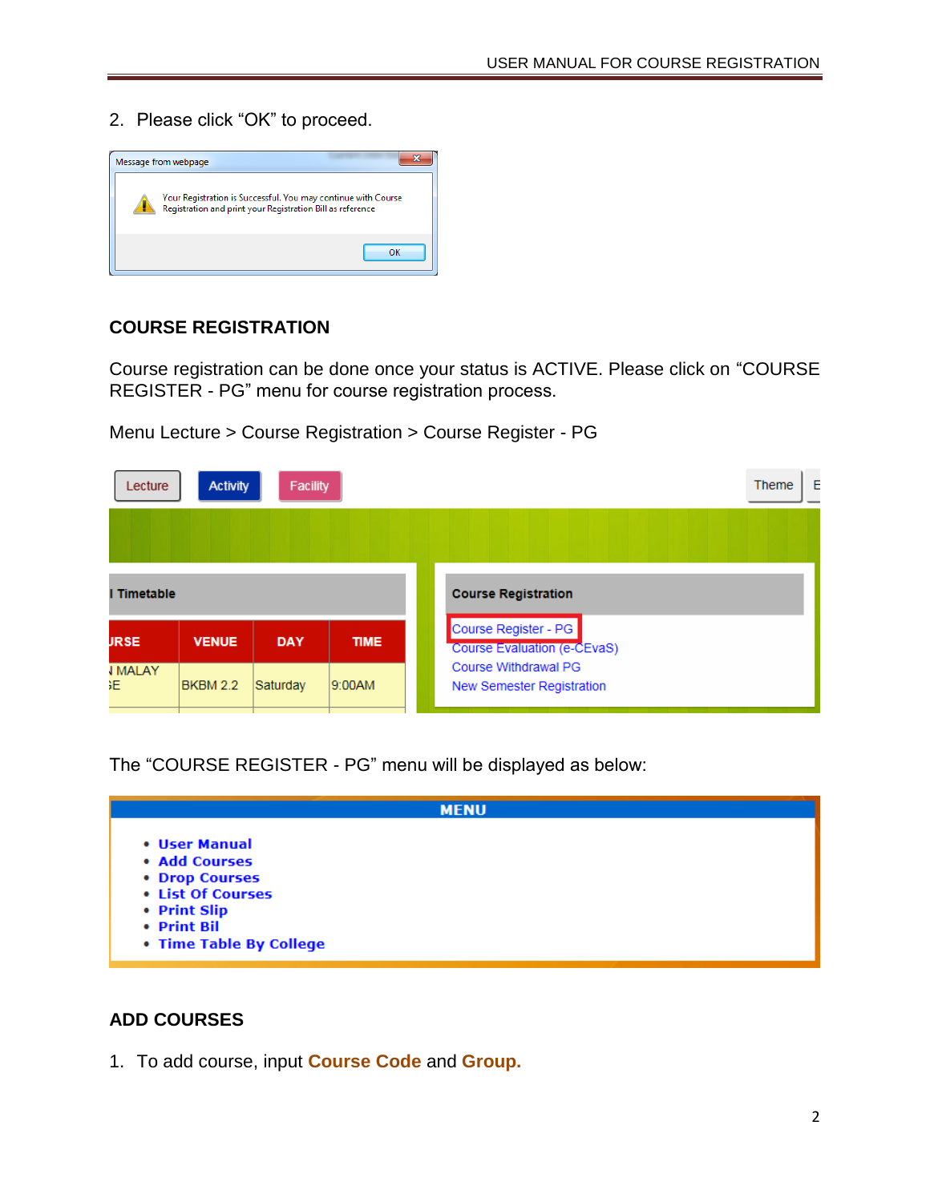2. Please click "OK" to proceed.



#### **COURSE REGISTRATION**

Course registration can be done once your status is ACTIVE. Please click on "COURSE REGISTER - PG" menu for course registration process.

Menu Lecture > Course Registration > Course Register - PG

| Lecture               | <b>Activity</b>                       | Facility   |             | E<br><b>Theme</b>                                        |  |  |  |  |
|-----------------------|---------------------------------------|------------|-------------|----------------------------------------------------------|--|--|--|--|
|                       |                                       |            |             |                                                          |  |  |  |  |
| I Timetable           |                                       |            |             | <b>Course Registration</b>                               |  |  |  |  |
| <b>JRSE</b>           | <b>VENUE</b>                          | <b>DAY</b> | <b>TIME</b> | Course Register - PG<br>Course Evaluation (e-CEvaS)      |  |  |  |  |
| <b>I MALAY</b><br>ïЕ. | Saturday<br><b>BKBM 2.2</b><br>9:00AM |            |             | Course Withdrawal PG<br><b>New Semester Registration</b> |  |  |  |  |

The "COURSE REGISTER - PG" menu will be displayed as below:

| <b>MENU</b>                                                                                                                     |  |
|---------------------------------------------------------------------------------------------------------------------------------|--|
| • User Manual<br>• Add Courses<br>• Drop Courses<br>• List Of Courses<br>• Print Slip<br>• Print Bil<br>• Time Table By College |  |

## **ADD COURSES**

1. To add course, input **Course Code** and **Group.**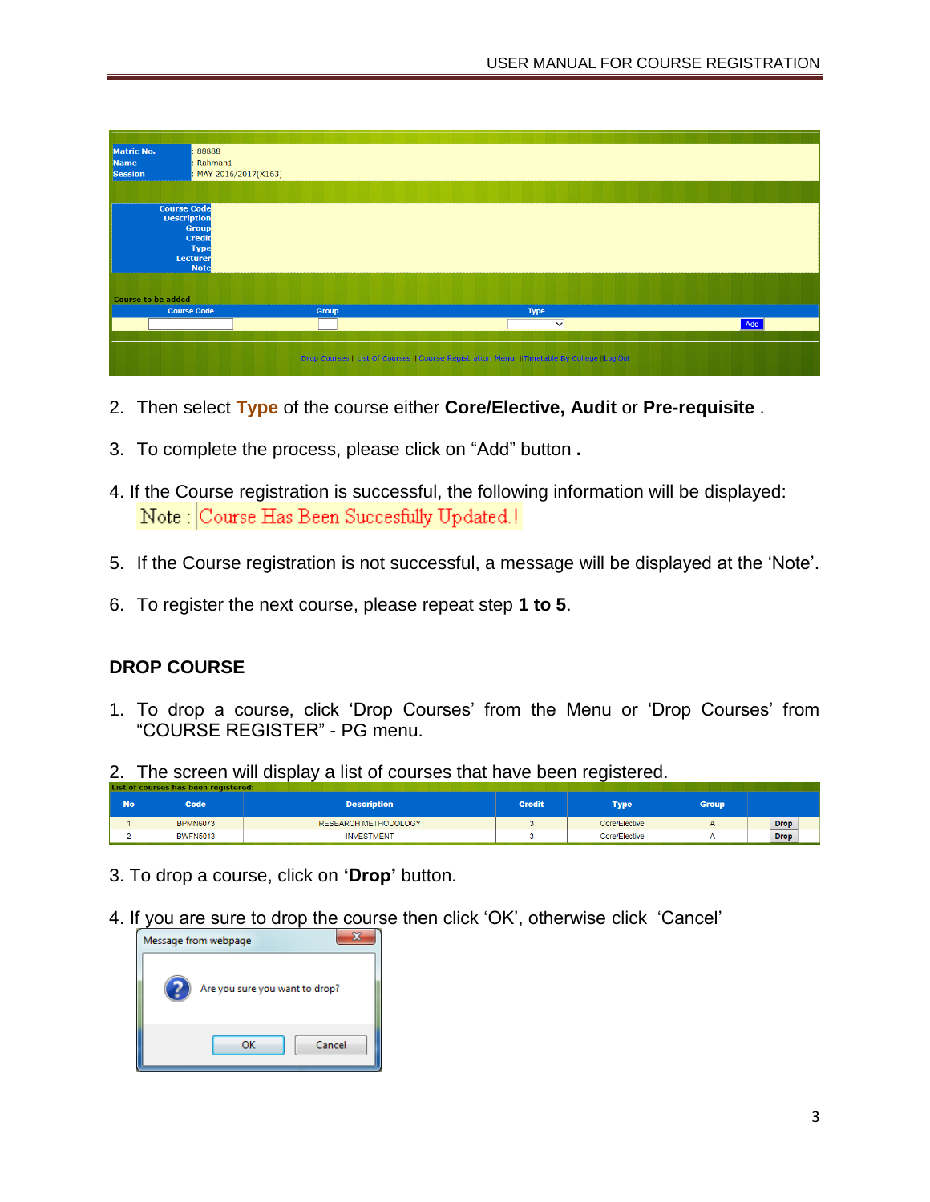

- 2. Then select **Type** of the course either **Core/Elective, Audit** or **Pre-requisite** .
- 3. To complete the process, please click on "Add" button **.**
- 4. If the Course registration is successful, the following information will be displayed: Note: Course Has Been Succesfully Updated.!
- 5. If the Course registration is not successful, a message will be displayed at the 'Note'.
- 6. To register the next course, please repeat step **1 to 5**.

# **DROP COURSE**

- 1. To drop a course, click 'Drop Courses' from the Menu or 'Drop Courses' from "COURSE REGISTER" - PG menu.
- 2. The screen will display a list of courses that have been registered.

| <b>No</b> | Code            | <b>Description</b>          | <b>Credit</b> | <b>Type</b>   | <b>Group</b> |             |
|-----------|-----------------|-----------------------------|---------------|---------------|--------------|-------------|
|           | <b>BPMN6073</b> | <b>RESEARCH METHODOLOGY</b> |               | Core/Elective |              | <b>Drop</b> |
|           | <b>BWFN5013</b> | <b>INVESTMENT</b>           |               | Core/Elective |              | <b>Drop</b> |

- 3. To drop a course, click on **'Drop'** button.
- 4. If you are sure to drop the course then click 'OK', otherwise click 'Cancel'